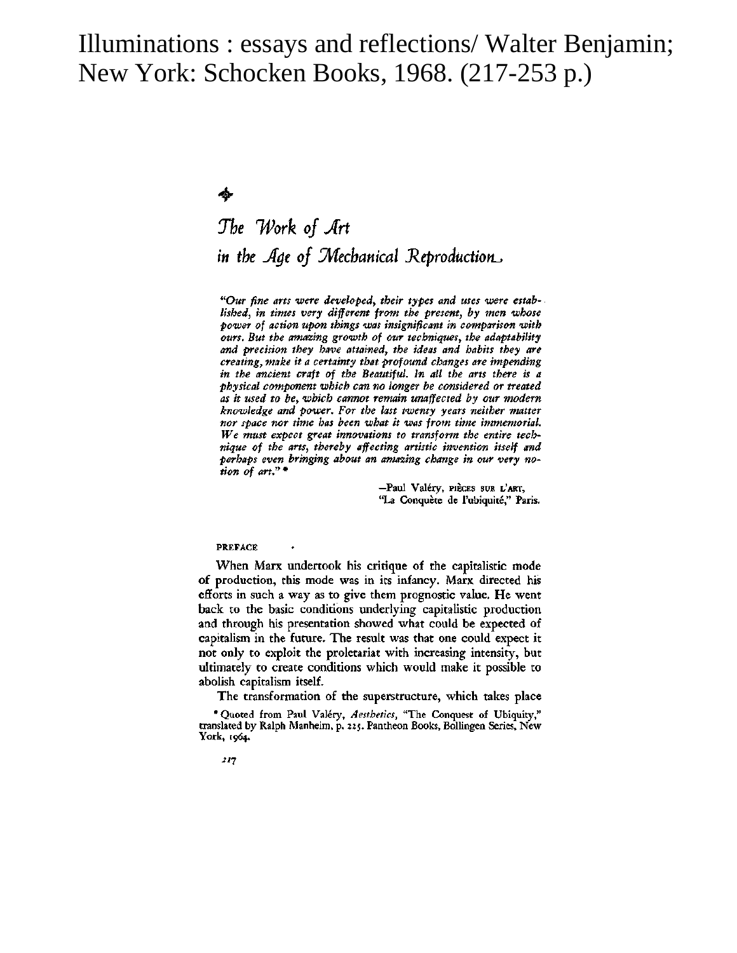# Illuminations : essays and reflections/ Walter Benjamin; New York: Schocken Books, 1968. (217-253 p.)

# *7he Work of Art in the Age of ^Mechanical Reproduction.,*

*"Our fine arts were developed, their types and uses were established, in times very different from the present, by men whose power of action upon things was insignificant in comparison with ours. But the amazing growth of our techniques, the adaptability and precision they have attained, the ideas and habits they are creating, make it a certainty that profound changes are impending in the ancient craft of the Beautiful. In all the arts there is a physical component which can no longer be considered or treated as it used to be, which cannot remain unaffected by our modern knowledge and power. For the last twenty years neither matter nor space nor time has been what it was from time immemorial. We must expect great innovations to transform the entire technique of the arts, thereby affecting artistic invention itself and perhaps even bringing about an amazing change in our very notion of art."* \*

> —Paul Valery, PIECES SUR L'ART, 'La Conquète de l'ubiquité," Paris.

# PREFACE

When Marx undertook his critique of the capitalistic mode of production, this mode was in its infancy. Marx directed his efforts in such a way as to give them prognostic value. He went back to the basic conditions underlying capitalistic production and through his presentation showed what could be expected of capitalism in the future. The result was that one could expect it not only to exploit the proletariat with increasing intensity, but ultimately to create conditions which would make it possible to abolish capitalism itself.

The transformation of the superstructure, which takes place

\* Quoted from Paul Valery, *Aesthetics,* "The Conquest of Ubiquity," translated by Ralph Manheim, p. 225. Pantheon Books, Bollingen Series, New York, 1964.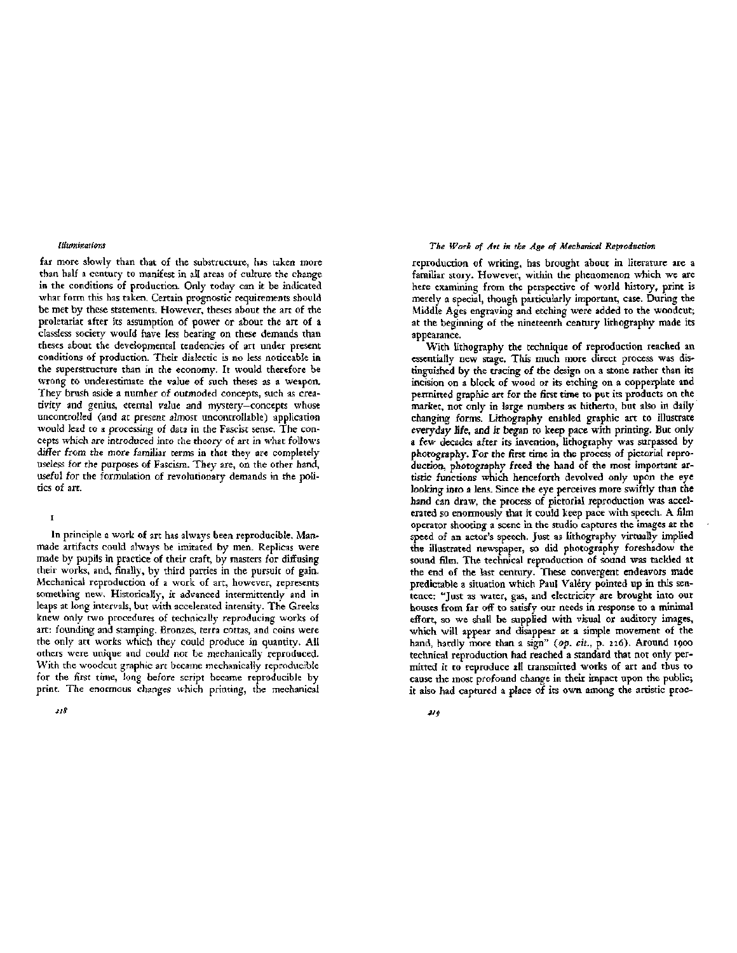far more slowly than that of the substructure, has taken more than half a century to manifest in all areas of culture the change in the conditions of production. Only today can it be indicated what form this has taken. Certain prognostic requirements should be met by these statements. However, theses about the art of the proletariat after its assumption of power or about the art of a classless society would have less bearing on these demands than theses about the developmental tendencies of art under present conditions of production. Their dialectic is no less noticeable in the superstructure than in the economy. It would therefore be wrong to underestimate the value of such theses as a weapon. They brush aside a number of outmoded concepts, such as creativity and genius, eternal value and mystery—concepts whose uncontrolled (and at present almost uncontrollable) application would lead to a processing of data in the Fascist sense. The concepts which are introduced into the theory of art in what follows differ from the *more* familiar terms in that they are completely useless for the purposes of Fascism. They are, on the other hand, useful for the formulation of revolutionary demands in the politics of art.

# $\bf I$

In principle a work of art has always been reproducible. Manmade artifacts could always be imitated by men. Replicas were made by pupils in practice of their craft, by masters for diffusing their works, and, finally, by third parties in the pursuit of gain. Mechanical reproduction of a work of art, however, represents something new. Historically, it advanced intermittently and in leaps at long intervals, but with accelerated intensity. The Greeks knew only two procedures of technically reproducing works of art: founding and stamping. Bronzes, terra cottas, and coins were the only art works which they could produce in quantity. All others were unique and could not be mechanically reproduced. With the woodcut graphic art became mechanically reproducible for the first time, long before script became reproducible by print. The enormous changes which printing, the mechanical

#### *The Work of Art m the Age of Mechanical Reproduction*

reproduction of writing, has brought about in literature are a familiar story. However, within the phenomenon which we are here examining from the perspective of world history, print is merely a special, though particularly important, case. During the Middle Ages engraving and etching were added to the woodcut; at the beginning of the nineteenth century lithography made its appearance.

With lithography the technique of reproduction reached an essentially new stage. This much more direct process was distinguished by the tracing of the design on a stone rather than its incision on a block of wood or its etching on a copperplate and permitted graphic art for the first time to put its products on the market, not only in large numbers as hitherto, but also in daily changing forms. Lithography enabled graphic art to illustrate everyday life, and it began to keep pace with printing. But only a few decades after its invention, lithography was surpassed by photography. For the first time in the process of pictorial reproduction, photography freed the hand of the most important artistic functions which henceforth devolved only upon the eye looking into a lens. Since the eye perceives more swiftly than the hand can draw, the process of pictorial reproduction was accelerated so enormously that it could keep pace with speech. A film operator shooting a scene in the studio captures the images at the speed of an actor's speech. Just as lithography virtually implied the illustrated newspaper, so did photography foreshadow the sound film. The technical reproduction of sound was tackled at the end of the last century. These convergent endeavors made predictable a situation which Paul Valery pointed up in this sentence: "Just as water, gas, and electricity are brought into our houses from far off to satisfy our needs in response to a minimal effort, so we shall be supplied with visual or auditory images, which will appear and disappear at a simple movement of the hand, hardly more than a sign" *(op. cit.,* p. 226). Around 1900 technical reproduction had reached a standard that not only permitted it to reproduce all transmitted works of art and thus to cause the most profound change in their impact upon the public; it also had captured a place of its own among the artistic proc-

**21}**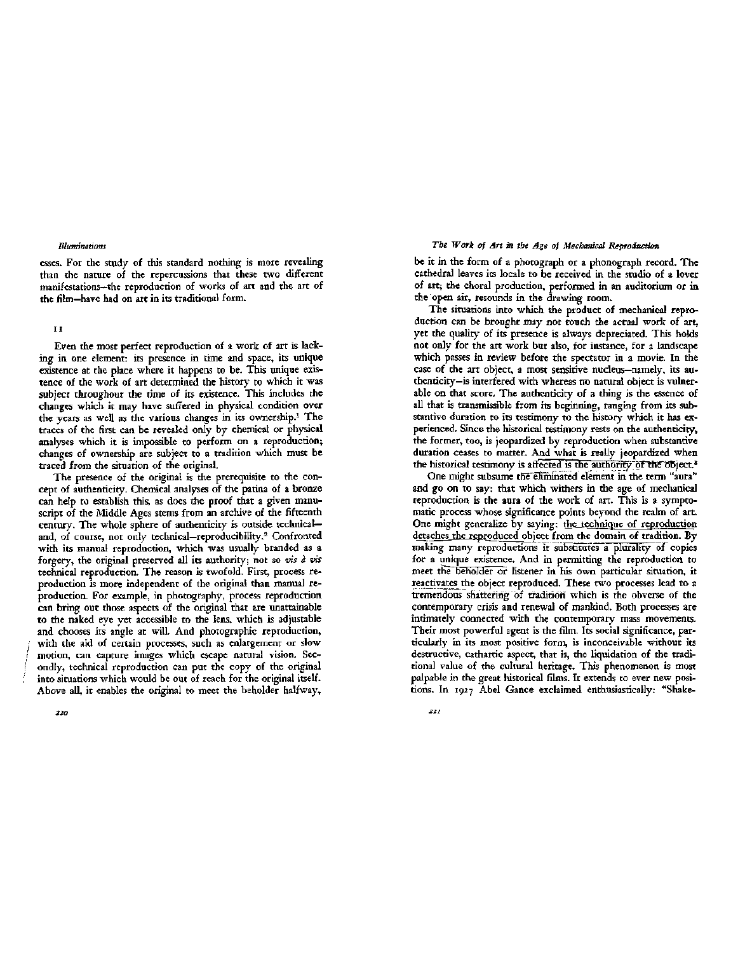esses. For the study of this standard nothing is more revealing than the nature of the repercussions that these two different manifestations—the reproduction of works of art and the art of the film—have had on art in its traditional form.

# $\mathbf{H}$

Even the most perfect reproduction of a work of art is lacking in one element: its presence in time and space, its unique existence at the place where it happens to be. This unique existence of the work of art determined the history to which it was subject throughout the time of its existence. This includes the changes which it may have suffered in physical condition over the years as well as the various changes in its ownership.<sup>1</sup> The traces of the first can be revealed only by chemical or physical analyses which it is impossible to perform on a reproduction; changes of ownership are subject to a tradition which must be traced from the situation of the original.

The presence of the original is the prerequisite to the concept of authenticity. Chemical analyses of the patina of a bronze can help to establish this, as does the proof that a given manuscript of the Middle Ages stems from an archive of the fifteenth century. The whole sphere of authenticity is outside technical and, of course, not only technical—reproducibility.<sup>2</sup> Confronted with its manual reproduction, which was usually branded as a forgery, the original preserved all its authority; not so *vis a vis* technical reproduction. The reason is twofold. First, process reproduction is more independent of the original than manual reproduction. For example, in photography, process reproduction can bring out those aspects of the original that are unattainable to the naked eye yet accessible to the lens, which is adjustable and chooses its angle at will. And photographic reproduction, with the aid of certain processes, such as enlargement or slow motion, can capture images which escape natural vision. Secondly, technical reproduction can put the copy of the original into situations which would be out of reach for the original itself. Above all, it enables the original to meet the beholder halfway,

## *The Work of Art m the Age of Mechanical Reproduction*

be it in the form of a photograph or a phonograph record. The cathedral leaves its locale to be received in the studio of a lover of art; the choral production, performed in an auditorium or in the open air, resounds in the drawing room.

The situations into which the product of mechanical reproduction can be brought may not touch the actual work of art, yet the quality of its presence is always depreciated. This holds not only for the art work but also, for instance, for a landscape which passes in review before the spectator in a movie. In the case of the art object, a most sensitive nucleus—namely, its authenticity—is interfered with whereas no natural object is vulnerable on that score. The authenticity of a thing is the essence of all that is transmissible from its beginning, ranging from its substantive duration to its testimony to the history which it has experienced. Since the historical testimony rests on the authenticity, the former, too, is jeopardized by reproduction when substantive duration ceases to matter. And what is really jeopardized when the historical testimony is affected is the authority of the object.<sup>3</sup>

One might subsume the eliminated element in the term "aura" and go on to say: that which withers in the age of mechanical reproduction is the aura of the work of art. This is a symptomatic process whose significance points beyond the realm of art. One might generalize by saying: the technique of reproduction detaches the reproduced object from the domain of tradition. By making many reproductions it substitutes a plurality of copies for a unique existence. And in permitting the reproduction to meet the beholder or listener in his own particular situation, it reactivates the object reproduced. These two processes lead to a tremendous shattering of tradition which is the obverse of the contemporary crisis and renewal of mankind. Both processes are intimately connected with the contemporary mass movements. Their most powerful agent is the film. Its social significance, particularly in its most positive form, is inconceivable without its destructive, cathartic aspect, that is, the liquidation of the traditional value of the cultural heritage. This phenomenon is most palpable in the great historical films. It extends to ever new positions. In 1927 Abel Gance exclaimed enthusiastically: "Shake-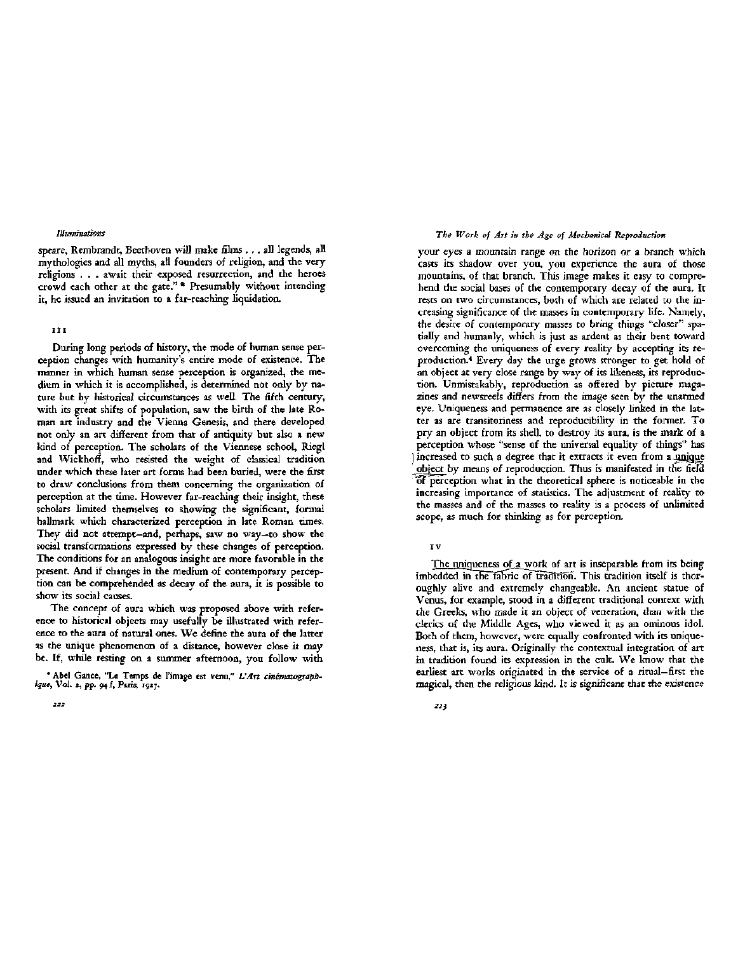speare, Rembrandt, Beethoven will make films .. . all legends, all mythologies and all myths, all founders of religion, and the very religions . . . await their exposed resurrection, and the heroes crowd each other at the gate." \* Presumably without intending it, he issued an invitation to a far-reaching liquidation.

# **m**

During long periods of history, the mode of human sense perception changes with humanity's entire mode of existence. The manner in which human sense perception is organized, the medium in which it is accomplished, is determined not only by nature but by historical circumstances as well. The fifth century, with its great shifts of population, saw the birth of the late Roman art industry and the Vienna Genesis, and there developed not only an art different from that of antiquity but also a new kind of perception. The scholars of the Viennese school, Riegl and Wickhoff, who resisted the weight of classical tradition under which these later art forms had been buried, were the first to draw conclusions from them concerning the organization of perception at the time. However far-reaching their insight, these scholars limited themselves to showing the significant, formal hallmark which characterized perception in late Roman times. They did not attempt—and, perhaps, saw no way—to show the social transformations expressed by these changes of perception. The conditions for an analogous insight are more favorable in the present. And if changes in the medium of contemporary perception can be comprehended as decay of the aura, it is possible to show its social causes.

The concept of aura which was proposed above with reference to historical objects may usefully be illustrated with reference to the aura of natural ones. We define the aura of the latter as the unique phenomenon of a distance, however close it may be. If, while resting on a summer afternoon, you follow with

\* Abel Gance, "Le Temps de l'image est verm," *L'Art cine7natograph-ique,* Vol. 2, pp. 94 f, Paris, 1927.

# *The Work of Art in the Age of Mechanical Reproduction*

your eyes a mountain range on the horizon or a branch which casts its shadow over you, you experience the aura of those mountains, of that branch. This image makes it easy to comprehend the social bases of the contemporary decay of the aura. It rests on two circumstances, both of which are related to the increasing significance of the masses in contemporary life. Namely, the desire of contemporary masses to bring things "closer" spatially and humanly, which is just as ardent as their bent toward overcoming the uniqueness of every reality by accepting its reproduction.<sup>4</sup> Every day the urge grows stronger to get hold of an object at very close range by way of its likeness, its reproduction. Unmistakably, reproduction as offered by picture magazines and newsreels differs from the image seen by the unarmed eye. Uniqueness and permanence are as closely linked in the latter as are transitoriness and reproducibility in the former. To pry an object from its shell, to destroy its aura, is the mark of a perception whose "sense of the universal equality of things" has increased to such a degree that it extracts it even from a unique object by means of reproduction. Thus is manifested in the field of perception what in the theoretical sphere is noticeable in the increasing importance of statistics. The adjustment of reality to the masses and of the masses to reality is a process of unlimited scope, as much for thinking as for perception.

# T V

*223*

The uniqueness of a work of art is inseparable from its being imbedded in the fabric of tradition. This tradition itself is thoroughly alive and extremely changeable. An ancient statue of Venus, for example, stood in a different traditional context with the Greeks, who made it an object of veneration, than with the clerics of the Middle Ages, who viewed it as an ominous idol. Both of them, however, were equally confronted with its uniqueness, that is, its aura. Originally the contextual integration of art in tradition found its expression in the cult. We know that the earliest art works originated in the service of a ritual—first the magical, then the religious kind. It is significant that the existence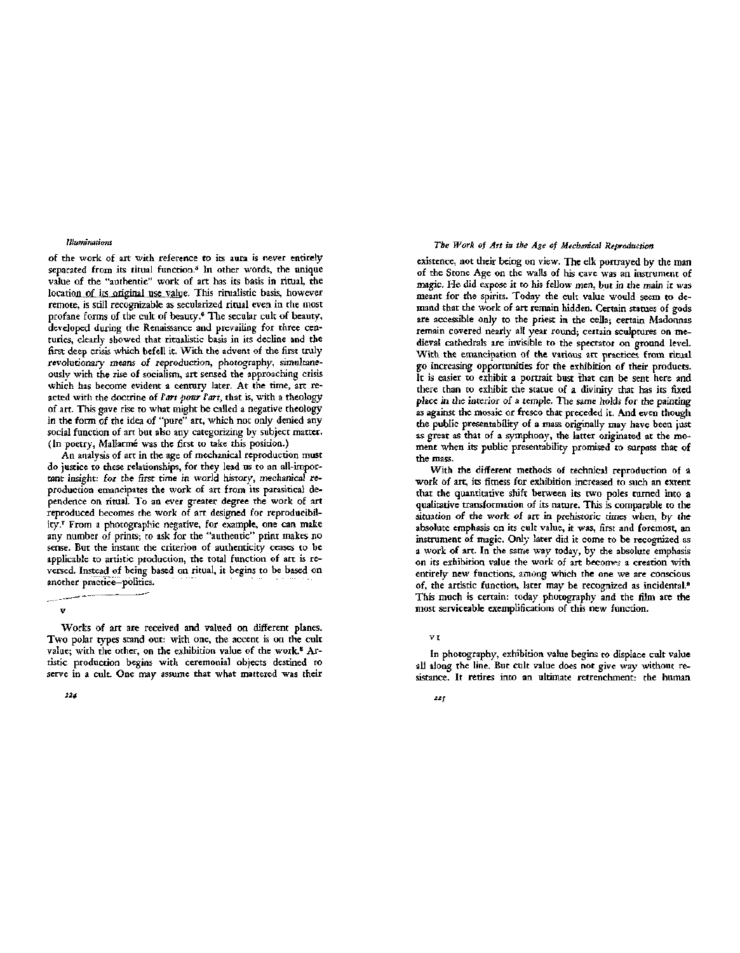of the work of art with reference to its aura is never entirely separated from its ritual function.<sup>5</sup> In other words, the unique value of the "authentic" work of art has its basis in ritual, the location of its original use value. This ritualistic basis, however remote, is still recognizable as secularized ritual even in the most profane forms of the cult of beauty.<sup>6</sup> The secular cult of beauty, developed during the Renaissance and prevailing for three centuries, clearly showed that ritualistic basis in its decline and the first deep crisis which befell it. With the advent of the first truly revolutionary means of reproduction, photography, simultaneously with the rise of socialism, art sensed the approaching crisis which has become evident a century later. At the time, art reacted with the doctrine of *Part pour Part,* that is, with a theology of art. This gave rise to what might be called a negative theology in the form of the idea of "pure" art, which not only denied any social function of art but also any categorizing by subject matter. (In poetry, Mallarme was the first to take this position.)

An analysis of art in the age of mechanical reproduction must do justice to these relationships, for they lead us to an all-important insight: for the first time in world history, mechanical reproduction emancipates the work of art from its parasitical dependence on ritual. To an ever greater degree the work of art reproduced becomes the work of art designed for reproducibility.<sup>7</sup> From a photographic negative, for example, one can make any number of prints; to ask for the "authentic" print makes no sense. But the instant the criterion of authenticity ceases to be applicable to artistic production, the total function of art is reversed. Instead of being based on ritual, it begins to be based on another practice—politics.

Works of art are received and valued on different planes. Two polar types stand out: with one, the accent is on the cult value; with the other, on the exhibition value of the work.<sup>8</sup> Artistic production begins with ceremonial objects destined to serve in a cult. One may assume that what mattered was their

# *The Work of Art in the Age of Mechanical Reproduction*

existence, not their being on view. The elk portrayed by the man of the Stone Age on the walls of his cave was an instrument of magic. He did expose it to his fellow men, but in the main it was meant for the spirits. Today the cult value would seem to demand that the work of art remain hidden. Certain statues of gods are accessible only to the priest in the cella; certain Madonnas remain covered nearly all year round; certain sculptures on medieval cathedrals are invisible to the spectator on ground level. With the emancipation of the various art practices from ritual go increasing opportunities for the exhibition of their products. It is easier to exhibit a portrait bust that can be sent here and there than to exhibit the statue of a divinity that has its fixed place in the interior of a temple. The same holds for the painting as against the mosaic or fresco that preceded it. And even though the public presentability of a mass originally may have been just as great as that of a symphony, the latter originated at the moment when its public presentability promised to surpass that of the mass.

With the different methods of technical reproduction of a work of art, its fitness for exhibition increased to such an extent that the quantitative shift between its two poles turned into a qualitative transformation of its nature. This is comparable to the situation of the work of art in prehistoric times when, by the absolute emphasis on its cult value, it was, first and foremost, an instrument of magic. Only later did it come to be recognized as a work of art. In the same way today, by the absolute emphasis on its exhibition value the work of art becomes a creation with entirely new functions, among which the one we are conscious of, the artistic function, later may be recognized as incidental.<sup>9</sup> This much is certain: today photography and the film are the most serviceable exemplifications of this new function.

VI.

*22s*

In photography, exhibition value begins to displace cult value all along the line. But cult value does not give way without resistance. It retires into an ultimate retrenchment: the human

v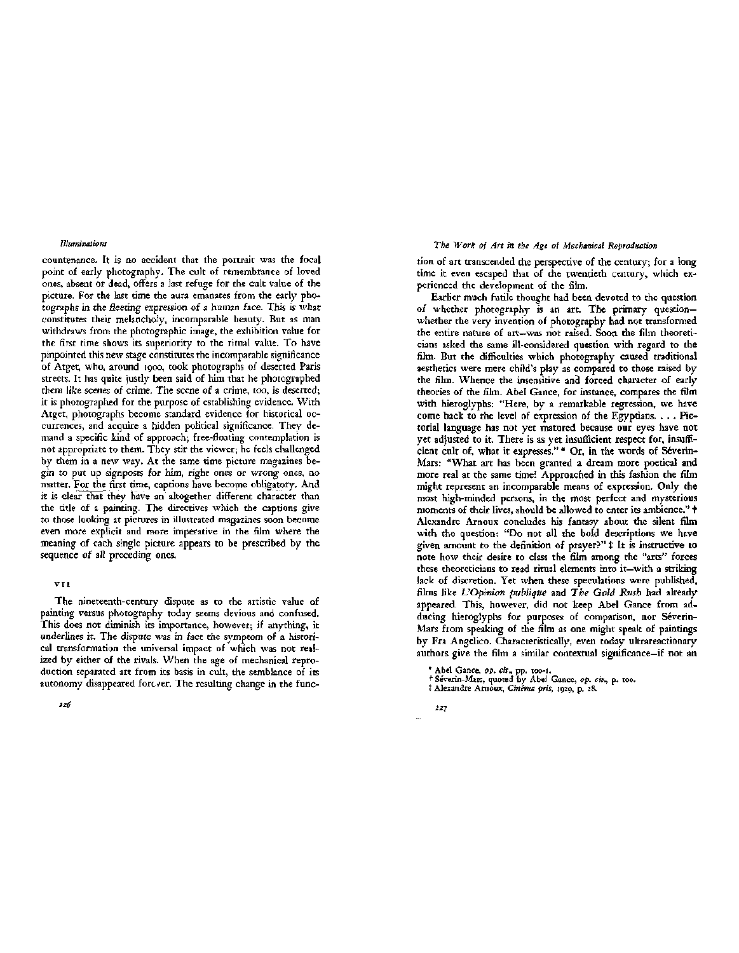countenance. It is no accident that the portrait was the focal point of early photography. The cult of remembrance of loved ones, absent or dead, offers a last refuge for the cult value of the picture. For the last time the aura emanates from the early photographs in the fleeting expression of a human face. This is what constitutes their melancholy, incomparable beauty. But as man withdraws from the photographic image, the exhibition value for the first time shows its superiority to the ritual value. To have pinpointed this new stage constitutes the incomparable significance of Atget, who, around 1900, took photographs of deserted Paris streets. It has quite justly been said of him that he photographed them like scenes of crime. The scene of a crime, too, is deserted; it is photographed for the purpose of establishing evidence. With Atget, photographs become standard evidence for historical occurrences, and acquire a hidden political significance. They demand a specific kind of approach; free-floating contemplation is not appropriate to them. They stir the viewer; he feels challenged by them in a new way. At the same time picture magazines begin to put up signposts for him, right ones or wrong ones, no matter. For the first time, captions have become obligatory. And it is clear that they have an altogether different character than the title of a painting. The directives which the captions give to those looking at pictures in illustrated magazines soon become even more explicit and more imperative in the film where the meaning of each single picture appears to be prescribed by the sequence of all preceding ones.

# VII.

The nineteenth-century dispute as to the artistic value of painting versus photography today seems devious and confused. This does not diminish its importance, however; if anything, it underlines it. The dispute was in fact the symptom of a historical transformation the universal impact of which was not realized by either of the rivals. When the age of mechanical reproduction separated art from its basis in cult, the semblance of its autonomy disappeared forever. The resulting change in the func-

## *The Work of Art in the Age of Mechanical Reproduction*

tion of art transcended the perspective of the century; for a long time it even escaped that of the twentieth century, which experienced the development of the film.

Earlier much futile thought had been devoted to the question of whether photography is an art. The primary question whether the very invention of photography had not transformed the entire nature of art—was not raised. Soon the film theoreticians asked the same ill-considered question with regard to the film. But the difficulties which photography caused traditional aesthetics were mere child's play as compared to those raised by the film. Whence the insensitive and forced character of early theories of the film. Abel Gance, for instance, compares the film with hieroglyphs: "Here, by a remarkable regression, we have come back to the level of expression of the Egyptians. . . . Pictorial language has not yet matured because our eyes have not yet adjusted to it. There is as yet insufficient respect for, insufficient cult of, what it expresses." • Or, in the words of Severin-Mars: "What art has been granted a dream more poetical and more real at the same time! Approached in this fashion the film might represent an incomparable means of expression. Only the most high-minded persons, in the most perfect and mysterious moments of their lives, should be allowed to enter its ambience."  $\dagger$ Alexandre Arnoux concludes his fantasy about the silent film with the question: "Do not all the bold descriptions we have given amount to the definition of prayer?" *t* It is instructive to note how their desire to class the film among the "arts" forces these theoreticians to read ritual elements into it—with a striking lack of discretion. Yet when these speculations were published, films like *UOpinion publique* and *The Gold Rush* had already appeared. This, however, did not keep Abel Gance from adducing hieroglyphs for purposes of comparison, nor Severin-Mars from speaking of the film as one might speak of paintings by Fra Angelico. Characteristically, even today ultrareactionary authors give the film a similar contextual significance—if not an

• Abel Gance, *op. cit.,* pp. 100-1. t Severin-Mars, quoted by Abel Gance, *op. cit.,* p. 100. *t* Alexandre Arnoux, *Cinema pris,* 1929, p. 28.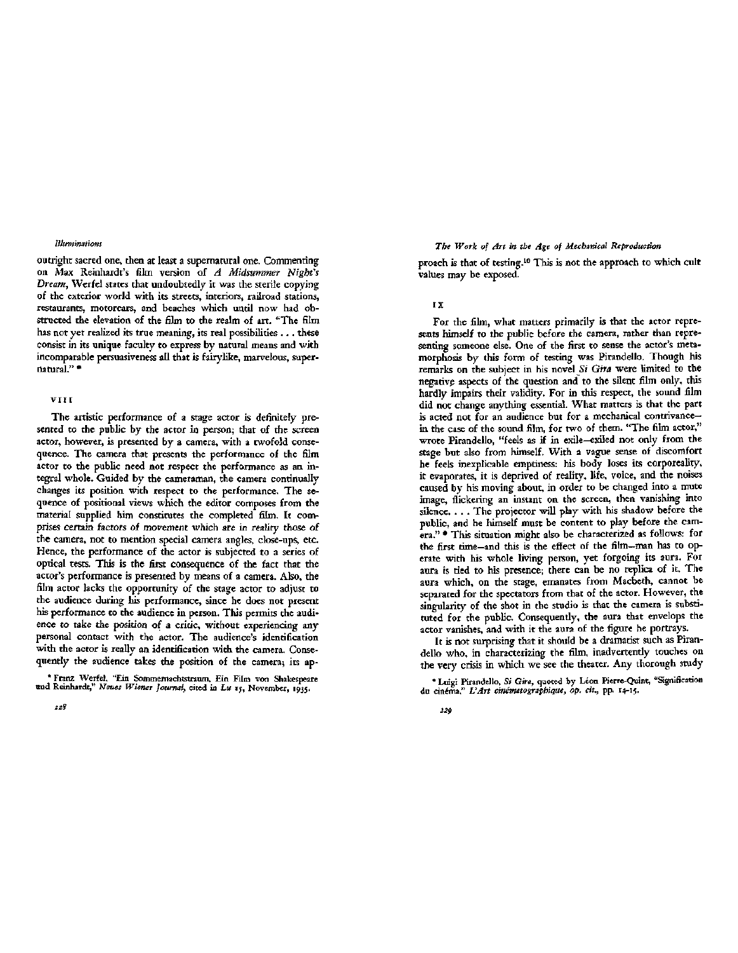outright sacred one, then at least a supernatural one. Commenting on Max Reinhardt's film version of *A Midsummer Night's Dream,* Werfel states that undoubtedly it was the sterile copying of the exterior world with its streets, interiors, railroad stations, restaurants, motorcars, and beaches which until now had obstructed the elevation of the film to the realm of art. "The film has not yet realized its true meaning, its real possibilities . . . these consist in its unique faculty to express by natural means and with incomparable persuasiveness all that is fairylike, marvelous, supernatural." \*

## VIII

The artistic performance of a stage actor is definitely presented to the public by the actor in person; that of the screen actor, however, is presented by a camera, with a twofold consequence. The camera that presents the performance of the film actor to the public need not respect the performance as an integral whole. Guided by the cameraman, the camera continually changes its position with respect to the performance. The sequence of positional views which the editor composes from the material supplied him constitutes the completed film. It comprises certain factors of movement which are in reality those of the camera, not to mention special camera angles, close-ups, etc. Hence, the performance of the actor is subjected to a series of optical tests. This is the first consequence of the fact that the actor's performance is presented by means of a camera. Also, the film actor lacks the opportunity of the stage actor to adjust to the audience during his performance, since he does not present his performance to the audience in person. This permits the audience to take the position of a critic, without experiencing any personal contact with the actor. The audience's identification with the actor is really an identification with the camera. Consequently the audience takes the position of the camera; its ap-

\* Franz Werfel, "Ein Sommernachtstraum, Ein Film von Shakespeare und Reinhardt," *Neues Wiener Journal,* cited in *Lu* 15, November, 1935.

# *The Work of Art in the Age of Mechanical Reproduction*

proach is that of testing.<sup>10</sup> This is not the approach to which cult values may be exposed.

#### **IX**

*229*

For the film, what matters primarily is that the actor represents himself to the public before the camera, rather than representing someone else. One of the first to sense the actor's metamorphosis by this form of testing was Pirandello. Though his remarks on the subject in his novel *Si Gira* were limited to the negative aspects of the question and to the silent film only, this hardly impairs their validity. For in this respect, the sound film did not change anything essential. What matters is that the part is acted not for an audience but for a mechanical contrivance in the case of the sound film, for two of them. "The film actor," wrote Pirandello, "feels as if in exile—exiled not only from the stage but also from himself. With a vague sense of discomfort he feels inexplicable emptiness: his body loses its corporeality, it evaporates, it is deprived of reality, life, voice, and the noises caused by his moving about, in order to be changed into a mute image, flickering an instant on the screen, then vanishing into silence. . . . The projector will play with his shadow before the public, and he himself must be content to play before the camera." \* This situation might also be characterized as follows: for the first time-and this is the effect of the film-man has to operate with his whole living person, yet forgoing its aura. For aura is tied to his presence; there can be no replica of it. The aura which, on the stage, emanates from Macbeth, cannot be separated for the spectators from that of the actor. However, the singularity of the shot in the studio is that the camera is substisingularity of the shot in the studio is that the camera is subscribed. tured for the public, Consequently, the aura mat envelops

It is not surprising that it should be a dramatist such as Pirandello who, in characterizing the film, inadvertently touches on the very crisis in which we see the theater. Any thorough study

da \* Luigi Pirandello, *Si Gira,* quoted by Leon Pierre-Quint, "Signification cinema," *L'Art cmematographique, op. cit.,* pp. 14-15.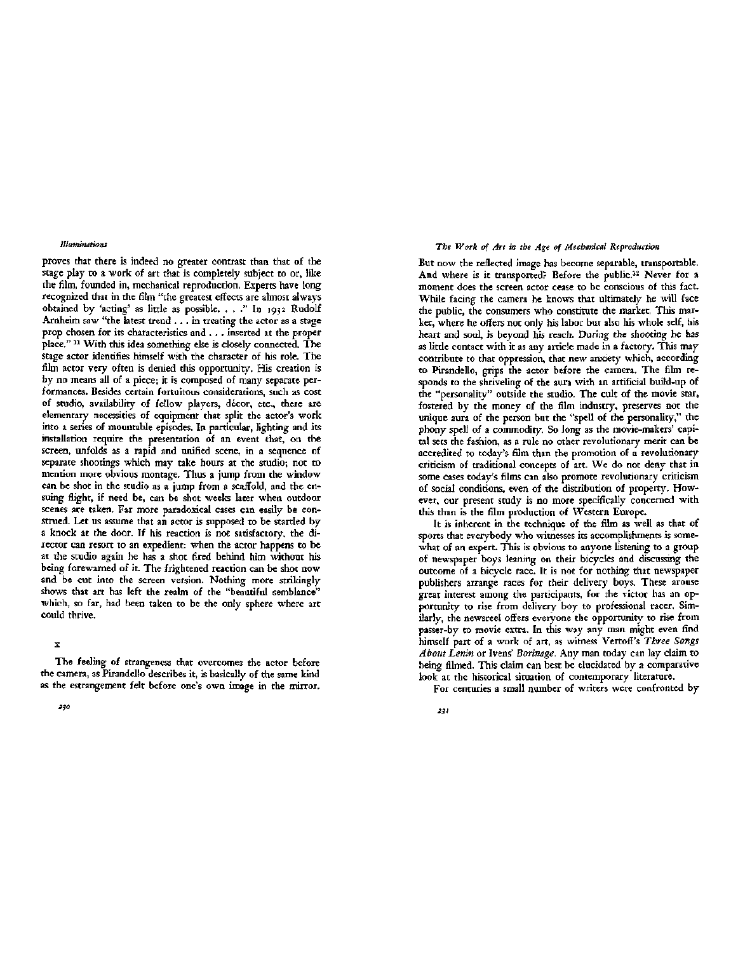proves that there is indeed no greater contrast than that of the stage play to a work of art that is completely subject to or, like the film, founded in, mechanical reproduction. Experts have long recognized that in the film "the greatest effects are almost always obtained by 'acting' as little as possible. . . ." In 1932 Rudolf Arnheim saw "the latest trend .. . in treating the actor as a stage prop chosen for its characteristics and . . . inserted at the proper place." <sup>11</sup> With this idea something else is closely connected. The stage actor identifies himself with the character of his role. The film actor very often is denied this opportunity. His creation is by no means all of a piece; it is composed of many separate performances. Besides certain fortuitous considerations, such as cost of studio, availability of fellow players, décor, etc., there are elementary necessities of equipment that split the actor's work into a series of mountable episodes. In particular, lighting and its installation require the presentation of an event that, on the screen, unfolds as a rapid and unified scene, in a sequence of separate shootings which may take hours at the studio; not to mention more obvious montage. Thus a jump from the window can be shot in the studio as a jump from a scaffold, and the ensuing flight, if need be, can be shot weeks later when outdoor scenes are taken. Far more paradoxical cases can easily be construed. Let us assume that an actor is supposed to be startled by a knock at the door. If his reaction is not satisfactory, the director can resort to an expedient: when the actor happens to be at the studio again he has a shot fired behind him without his ar the studio again he has a shot their being thin without his<br>below foreward of it. The frightened reception can be showned being forewarded of all the angulened reaction can be shot how and be cut into the screen version. Nothing more strikingly shows that art has left the realm of the "beautiful semblance" which, so far, had been taken to be the only sphere where art could thrive.

# $\mathbf x$

The feeling of strangeness that overcomes the actor before the camera, as Pirandello describes it, is basically of the same kind as the estrangement felt before one's own image in the mirror.

# *The Work of Art in the Age of Mechanical Reproduction*

But now the reflected image has become separable, transportable. And where is it transported? Before the public.<sup>12</sup> Never for a moment does the screen actor cease to be conscious of this fact. While facing the camera he knows that ultimately he will face the public, the consumers who constitute the market. This market, where he offers not only his labor but also his whole self, his heart and soul, is beyond his reach. During the shooting he has as little contact with it as any article made in a factory. This may contribute to that oppression, that new anxiety which, according to Pirandello, grips the actor before the camera. The film responds to the shriveling of the aura with an artificial build-up of the "personality" outside the studio. The cult of the movie star, fostered by the money of the film industry, preserves not the unique aura of the person but the "spell of the personality," the phony spell of a commodity. So long as the movie-makers' capital sets the fashion, as a rule no other revolutionary merit can be accredited to today's film than the promotion of a revolutionary criticism of traditional concepts of art. We do not deny that in some cases today's films can also promote revolutionary criticism of social conditions, even of the distribution of property. However, our present study is no more specifically concerned with this than is the film production of Western Europe.

It is inherent in the technique of the film as well as that of sports that everybody who witnesses its accomplishments is somewhat of an expert. This is obvious to anyone listening to a group of newspaper boys leaning on their bicycles and discussing the outcome of a bicycle race. It is not for nothing that newspaper publishers arrange races for their delivery boys. These arouse great interest among the participants, for the victor has an opportunity to rise from delivery boy to professional racer. Similarly, the newsreel offers everyone the opportunity to rise from passer-by to movie extra. In this way any man might even find himself part of a work of art, as witness Vertoff's *Three Songs About Lenin* or Ivens' *Borinage.* Any man today can lay claim to being filmed. This claim can best be elucidated by a comparative look at the historical situation of contemporary literature.

For centuries a small number of writers were confronted by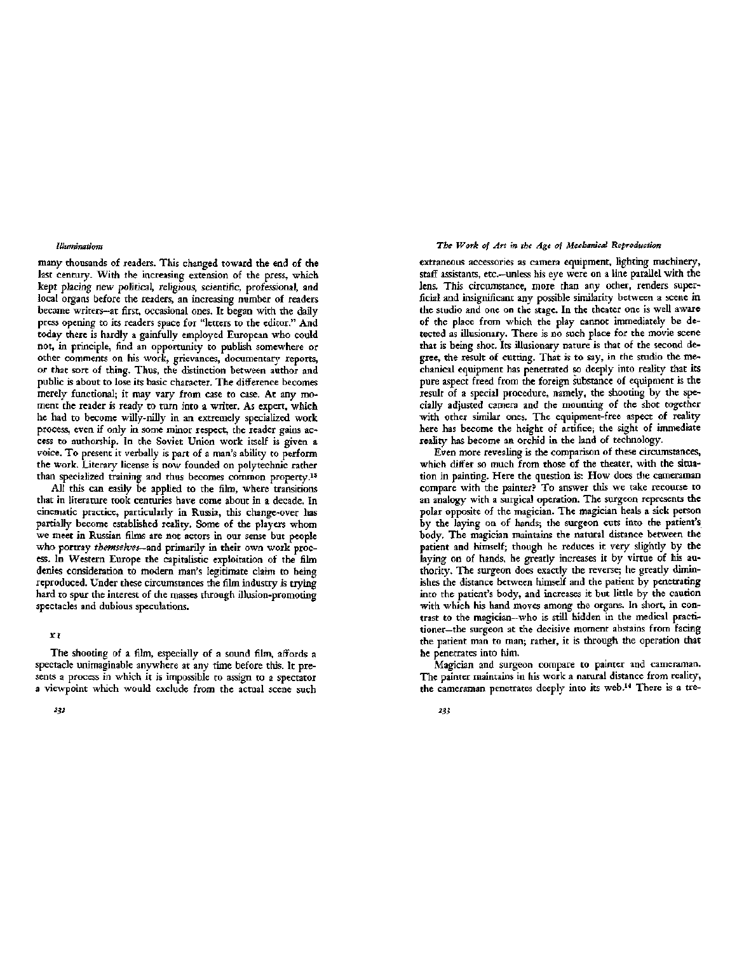many thousands of readers. This changed toward the end of the last century. With the increasing extension of the press, which kept placing new political, religious, scientific, professional, and local organs before the readers, an increasing number of readers became writers—at first, occasional ones. It began with the daily press opening to its readers space for "letters to the editor." And today there is hardly a gainfully employed European who could not, in principle, find an opportunity to publish somewhere or other comments on his work, grievances, documentary reports, or that sort of thing. Thus, the distinction between author and public is about to lose its basic character. The difference becomes merely functional; it may vary from case to case. At any moment the reader is ready to turn into a writer. As expert, which he had to become willy-nilly in an extremely specialized work process, even if only in some minor respect, the reader gains access to authorship. In the Soviet Union work itself is given a voice. To present it verbally is part of a man's ability to perform the work. Literary license is now founded on polytechnic rather than specialized training and thus becomes common property.<sup>13</sup>

All this can easily be applied to the film, where transitions that in literature took centuries have come about in a decade. In cinematic practice, particularly in Russia, this change-over has partially become established reality. Some of the players whom we meet in Russian films are not actors in our sense but people who portray *themselves—*and primarily in their own work process. In Western Europe the capitalistic exploitation of the film denies consideration to modern man's legitimate claim to being reproduced. Under these circumstances the film industry is trying hard to spur the interest of the masses through illusion-promoting spectacles and dubious speculations.

# $\boldsymbol{x}$   $\boldsymbol{i}$

The shooting of a film, especially of a sound film, affords a spectacle unimaginable anywhere at any time before this. It presents a process in which it is impossible to assign to a spectator a viewpoint which would exclude from the actual scene such

# *The Work of Art in the Age of Mechanical Reproduction*

extraneous accessories as camera equipment, lighting machinery, staff assistants, etc.—unless his eye were on a line parallel with the lens. This circumstance, more than any other, renders superficial and insignificant any possible similarity between a scene in the studio and one on the stage. In the theater one is well aware of the place from which the play cannot immediately be detected as illusionary. There is no such place for the movie scene that is being shot. Its illusionary nature is that of the second degree, the result of cutting. That is to say, in the studio the mechanical equipment has penetrated so deeply into reality that its pure aspect freed from the foreign substance of equipment is the result of a special procedure, namely, the shooting by the specially adjusted camera and the mounting of the shot together with other similar ones. The equipment-free aspect of reality here has become the height of artifice; the sight of immediate reality has become an orchid in the land of technology.

Even more revealing is the comparison of these circumstances, which differ so much from those of the theater, with the situation in painting. Here the question is: How does the cameraman compare with the painter? To answer this we take recourse to an analogy with a surgical operation. The surgeon represents the polar opposite of the magician. The magician heals a sick person by the laying on of hands; the surgeon cuts into the patient's body. The magician maintains the natural distance between the patient and himself; though he reduces it very slightly by the laying on of hands, he greatly increases it by virtue of his authority. The surgeon does exactly the reverse; he greatly diminishes the distance between himself and the patient by penetrating into the patient's body, and increases it but little by the caution with which his hand moves among the organs. In short, in contrast to the magician—who is still hidden in the medical practitioner—the surgeon at the decisive moment abstains from facing the patient man to man; rather, it is through the operation that he penetrates into him.

Magician and surgeon compare to painter and cameraman. The painter maintains in his work a natural distance from reality, the cameraman penetrates deeply into its web.<sup>14</sup> There is a tre-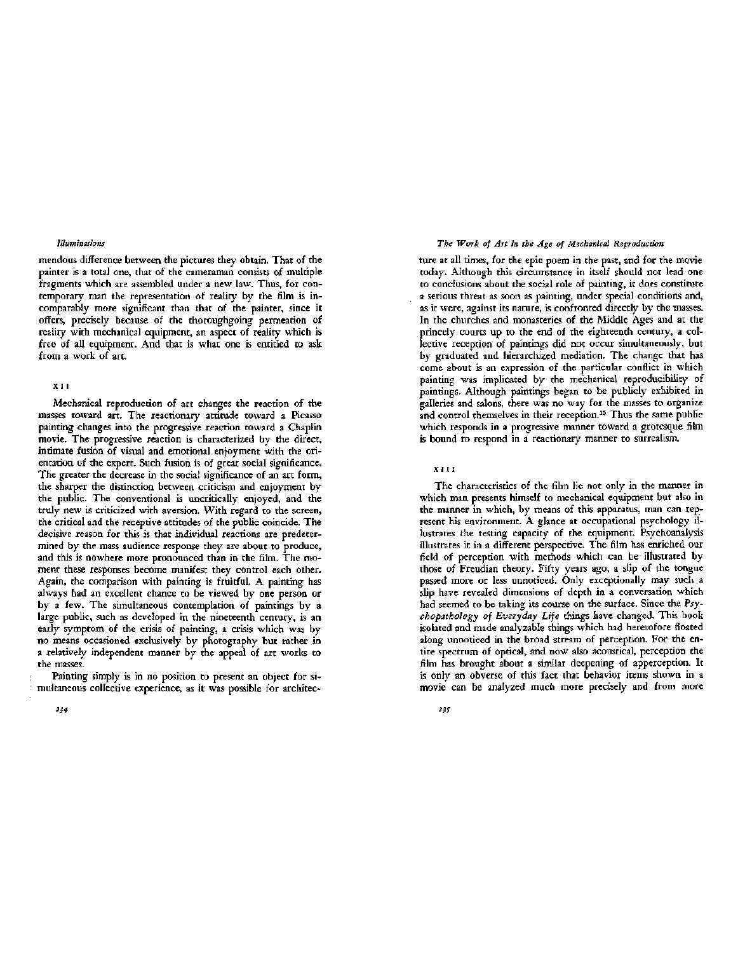mendous difference between the pictures they obtain. That of the painter is a total one, that of the cameraman consists of multiple fragments which are assembled under a new law. Thus, for contemporary man the representation of reality by the film is incomparably more significant than that of the painter, since it offers, precisely because of the thoroughgoing permeation of reality with mechanical equipment, an aspect of reality which is free of all equipment. And that is what one is entitled to ask from a work of art.

# $X11$

Mechanical reproduction of art changes the reaction of the masses toward art. The reactionary attitude toward a Picasso painting changes into the progressive reaction toward a Chaplin movie. The progressive reaction is characterized by the direct, intimate fusion of visual and emotional enjoyment with the orientation of the expert. Such fusion is of great social significance. The greater the decrease in the social significance of an art form, the sharper the distinction between criticism and enjoyment by the public. The conventional is uncritically enjoyed, and the truly new is criticized with aversion. With regard to the screen, the critical and the receptive attitudes of the public coincide. The decisive reason for this is that individual reactions are predetermined by the mass audience response they are about to produce, and this is nowhere more pronounced than in the film. The moment these responses become manifest they control each other. Again, the comparison with painting is fruitful. A painting has always had an excellent chance to be viewed by one person or by a few. The simultaneous contemplation of paintings by a large public, such as developed in the nineteenth century, is an early symptom of the crisis of painting, a crisis which was by no means occasioned exclusively by photography but rather in a relatively independent manner by the appeal of art works to the masses.

Painting simply is in no position to present an object for simultaneous collective experience, as it was possible for architec-

# *The Work of Art in the Age of Mechanical Reproduction*

ture at all times, for the epic poem in the past, and for the movie today. Although this circumstance in itself should not lead one to conclusions about the social role of painting, it does constitute a serious threat as soon as painting, under special conditions and, as it were, against its nature, is confronted directly by the masses. In the churches and monasteries of the Middle Ages and at the princely courts up to the end of the eighteenth century, a collective reception of paintings did not occur simultaneously, but by graduated and hierarchized mediation. The change that has come about is an expression of the particular conflict in which painting was implicated by the mechanical reproducibility of paintings. Although paintings began to be publicly exhibited in galleries and salons, there was no way for the masses to organize and control themselves in their reception.<sup>15</sup> Thus the same public which responds in a progressive manner toward a grotesque film is bound to respond in a reactionary manner to surrealism.

# xiii

235

The characteristics of the film lie not only in the manner in which man presents himself to mechanical equipment but also in the manner in which, by means of this apparatus, man can represent his environment. A glance at occupational psychology illustrates the testing capacity of the equipment. Psychoanalysis illustrates it in a different perspective. The film has enriched our field of perception with methods which can be illustrated by those of Freudian theory. Fifty years ago, a slip of the tongue passed more or less unnoticed. Only exceptionally may such a slip have revealed dimensions of depth in a conversation which had seemed to be taking its course on the surface. Since the *Psychopathology of Everyday Life* things have changed. This book isolated and made analyzable things which had heretofore floated along unnoticed in the broad stream of perception. For the entire spectrum of optical, and now also acoustical, perception the film has brought about a similar deepening of apperception. It is only an obverse of this fact that behavior items shown in a movie can be analyzed much more precisely and from more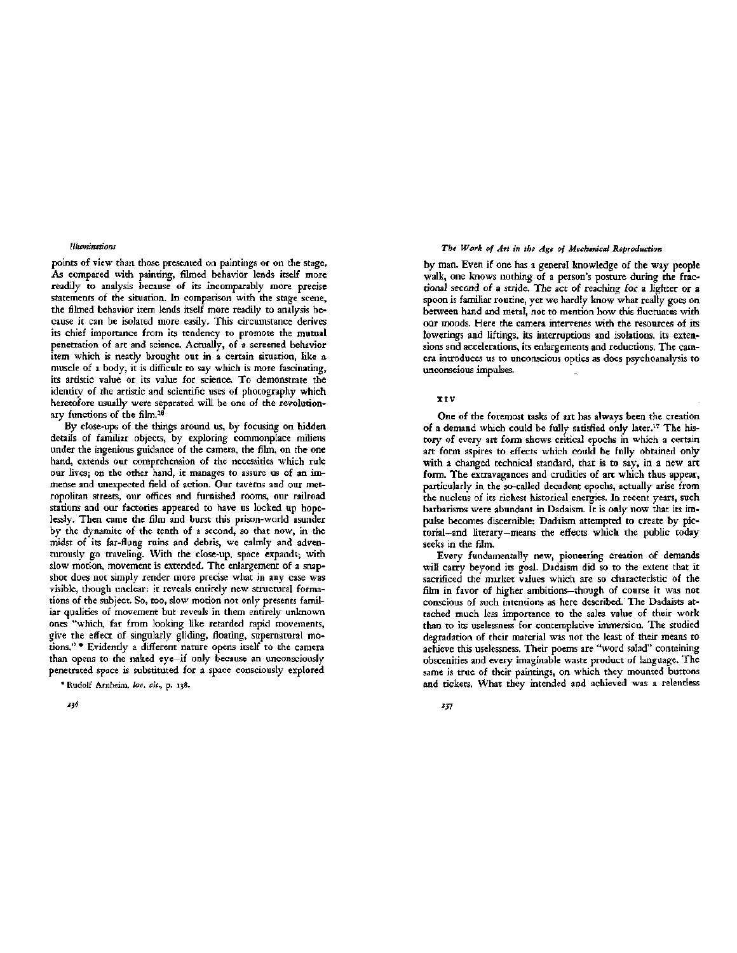points of view than those presented on paintings or on the stage. As compared with painting, filmed behavior lends itself more readily to analysis because of its incomparably more precise statements of the situation. In comparison with the stage scene, the filmed behavior item lends itself more readily to analysis because it can be isolated more easily. This circumstance derives its chief importance from its tendency to promote the mutual penetration of art and science. Actually, of a screened behavior item which is neatly brought out in a certain situation, like a muscle of a body, it is difficult to say which is more fascinating, its artistic value or its value for science. To demonstrate the identity of the artistic and scientific uses of photography which heretofore usually were separated will be one of the revolutionary functions of the film.<sup>16</sup>

By close-ups of the things around us, by focusing on hidden details of familiar objects, by exploring commonplace milieus under the ingenious guidance of the camera, the film, on the one hand, extends our comprehension of the necessities which rule our lives; on the other hand, it manages to assure us of an immense and unexpected field of action. Our taverns and our metropolitan streets, our offices and furnished rooms, our railroad stations and our factories appeared to have us locked up hopelessly. Then came the film and burst this prison-world asunder by the dynamite of the tenth of a second, so that now, in the midst of its far-flung ruins and debris, we calmly and adventurously go traveling. With the close-up, space expands; with slow motion, movement is extended. The enlargement of a snapshot does not simply render more precise what in any case was visible, though unclear: it reveals entirely new structural formations of the subject. So, too, slow motion not only presents familiar qualities of movement but reveals in them entirely unknown ones "which, far from looking like retarded rapid movements, give the effect of singularly gliding, floating, supernatural motions." \* Evidently a different nature opens itself to the camera than opens to the naked eye—if only because an unconsciously penetrated space is substituted for a space consciously explored

\* Rudolf Arnheim, *loc. ch.,* p. 138.

# *The Work of Art in the Age of Mechanical Reproduction*

by man. Even if one has a general knowledge of the way people walk, one knows nothing of a person's posture during the fractional second of a stride. The act of reaching for a lighter or a spoon is familiar routine, yet we hardly know what really goes on between hand and metal, not to mention how this fluctuates with our moods. Here the camera intervenes with the resources of its lowerings and liftings, its interruptions and isolations, its extensions and accelerations, its enlargements and reductions. The camera introduces us to unconscious optics as does psychoanalysis to unconscious impulses.

#### xIV

237

One of the foremost tasks of art has always been the creation of a demand which could be fully satisfied only later.<sup>17</sup> The history of every art form shows critical epochs in which a certain art form aspires to effects which could be fully obtained only with a changed technical standard, that is to say, in a new art form. The extravagances and crudities of art which thus appear, particularly in the so-called decadent epochs, actually arise from the nucleus of its richest historical energies. In recent years, such barbarisms were abundant in Dadaism. It is only now that its impulse becomes discernible: Dadaism attempted to create by pictorial—and literary—means the effects which the public today seeks in the film.

Every fundamentally new, pioneering creation of demands will carry beyond its goal. Dadaism did so to the extent that it sacrificed the market values which are so characteristic of the film in favor of higher ambitions—though of course it was not conscious of such intentions as here described. The Dadaists attached much less importance to the sales value of their work than to its uselessness for contemplative immersion. The studied degradation of their material was not the least of their means to achieve this uselessness. Their poems are "word salad" containing obscenities and every imaginable waste product of language. The same is true of their paintings, on which they mounted buttons and tickets. What they intended and achieved was a relentless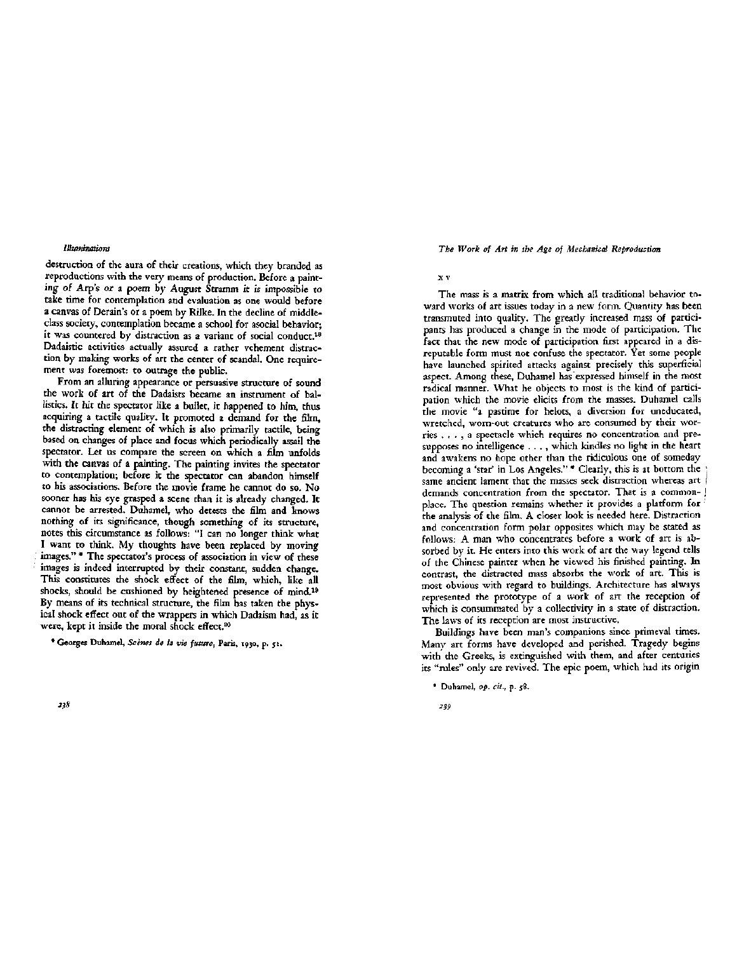destruction of the aura of their creations, which they branded as reproductions with the very means of production. Before a painting of Arp's or a poem by August Stramm it is impossible to take time for contemplation and evaluation as one would before a canvas of Derain's or a poem by Rilke. In the decline of middleclass society, contemplation became a school for asocial behavior; it was countered by distraction as a variant of social conduct.<sup>18</sup> Dadaistic activities actually assured a rather vehement distraction by making works of art the center of scandal. One requirement was foremost: to outrage the public.

From an alluring appearance or persuasive structure of sound the work of art of the Dadaists became an instrument of ballistics. It hit the spectator like a bullet, it happened to him, thus acquiring a tactile quality. It promoted a demand for the film, the distracting element of which is also primarily tactile, being based on changes of place and focus which periodically assail the spectator. Let us compare the screen on which a film unfolds with the canvas of a painting. The painting invites the spectator to contemplation; before it the spectator can abandon himself to his associations. Before the movie frame he cannot do so. No sooner has his eye grasped a scene than it is already changed. It cannot be arrested. Duhamel, who detests the film and knows nothing of its significance, though something of its structure, notes this circumstance as follows: "I can no longer think what I want to think. My thoughts have been replaced by moving images." \* The spectator's process of association in view of these images is indeed interrupted by their constant, sudden change. This constitutes the shock effect of the film, which, like all shocks, should be cushioned by heightened presence of mind.<sup>19</sup> By means of its technical structure, the film has taken the physical shock effect out of the wrappers in which Dadaism had, as it were, kept it inside the moral shock effect.<sup>20</sup>

\* Georges Duhamel, *Scenes de la vie future,* Paris, 1930, p. 52.

*The Work of Art in the Age of Mechanical Reproduction*

 $\mathbf{x}$  v

The mass is a matrix from which all traditional behavior toward works of art issues today in a new form. Quantity has been transmuted into quality. The greatly increased mass of participants has produced a change in the mode of participation. The fact that the new mode of participation first appeared in a disreputable form must not confuse the spectator. Yet some people have launched spirited attacks against precisely this superficial aspect. Among these, Duhamel has expressed himself in the most radical manner. What he objects to most is the kind of participation which the movie elicits from the masses. Duhamel calls the movie "a pastime for helots, a diversion for uneducated, wretched, worn-out creatures who are consumed by their worries . . . , a spectacle which requires no concentration and presupposes no intelligence . . . , which kindles no light in the heart and awakens no hope other than the ridiculous one of someday becoming a 'star' in Los Angeles." \* Clearly, this is at bottom the ' same ancient lament that the masses seek distraction whereas art demands concentration from the spectator. That is a common- | place. The question remains whether it provides a platform for the analysis of the film. A closer look is needed here. Distraction and concentration form polar opposites which may be stated as follows: A man who concentrates before a work of art is absorbed by it. He enters into this work of art the way legend tells of the Chinese painter when he viewed his finished painting. In contrast, the distracted mass absorbs the work of art. This is most obvious with regard to buildings. Architecture has always represented the prototype of a work of art the reception of which is consummated by a collectivity in a state of distraction. The laws of its reception are most instructive.

Buildings have been man's companions since primeval times. Many art forms have developed and perished. Tragedy begins with the Greeks, is extinguished with them, and after centuries its "rules" only are revived. The epic poem, which had its origin

\* Duhamel, *op. cit.,* p. 58.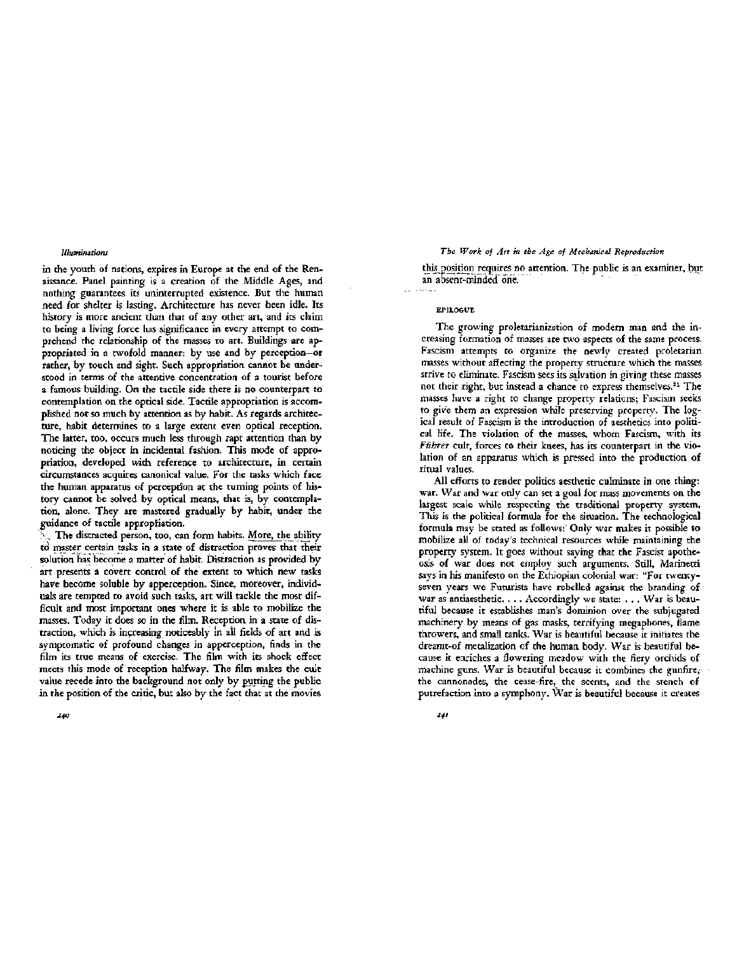#### *Ulwmmmions*

in the youth of nations, expires in Europe at the end of the Renaissance. Panel painting is a creation of the Middle Ages, and nothing guarantees its uninterrupted existence. But the human need for shelter is lasting. Architecture has never been idle. Its history is more ancient than that of any other art, and its claim to being a living force has significance in every attempt to comprehend the relationship of the masses to art. Buildings are appropriated in a twofold manner: by use and by perception—or rather, by touch and sight. Such appropriation cannot be understood in terms of the attentive concentration of a tourist before a famous building. On the tactile side there is no counterpart to contemplation on the optical side. Tactile appropriation is accomplished not so much by attention as by habit. As regards architecture, habit determines to a large extent even optical reception. The latter, too, occurs much less through rapt attention than by noticing the object in incidental fashion. This mode of appropriation, developed with reference to architecture, in certain circumstances acquires canonical value. For the tasks which face the human apparatus of perception at the turning points of history cannot be solved by optical means, that is, by contemplation, alone. They are mastered gradually by habit, under the guidance of tactile appropriation.

. The distracted person, too, can form habits. More, the ability to master certain tasks in a state of distraction proves that their solution has become a matter of habit. Distraction as provided by art presents a covert control of the extent to which new tasks have become soluble by apperception. Since, moreover, individuals are tempted to avoid such tasks, art will tackle the most difficult and most important ones where it is able to mobilize the masses. Today it does so in the film. Reception in a state of distraction, which is increasing noticeably in all fields of art and is symptomatic of profound changes in apperception, finds in the film its true means of exercise. The film with its shock effect meets this mode of reception halfway. The film makes the cult value recede into the background not only by putting the public in the position of the critic, but also by the fact that at the movies

*The Work of Art in the Age of Mechanical Reproduction*

this position requires no attention. The public is an examiner, but an absent-minded one.

## **EPILOGUE**

and the state of

*241*

The growing proletarianization of modern man and the increasing formation of masses are two aspects of the same process. Fascism attempts to organize the newly created proletarian masses without affecting the property structure which the masses strive to eliminate. Fascism sees its salvation in giving these masses not their right, but instead a chance to express themselves.<sup>21</sup> The masses have a right to change property relations; Fascism seeks to give them an expression while preserving property. The logical result of Fascism is the introduction of aesthetics into political life. The violation of the masses, whom Fascism, with its *Fiihrer* cult, forces to their knees, has its counterpart in the violation of an apparatus which is pressed into the production of ritual values.

All efforts to render politics aesthetic culminate in one thing: war. War and war only can set a goal for mass movements on the largest scale while respecting the traditional property system. This is the political formula for the situation. The technological formula may be stated as follows: Only war makes it possible to mobilize all of today's technical resources while maintaining the property system. It goes without saying that the Fascist apotheosis of war does not employ such arguments. Still, Marinetti says in his manifesto on the Ethiopian colonial war: "For twentyseven years we Futurists have rebelled against the branding of war as antiaesthetic. . . . Accordingly we state: . . . War is beautiful because it establishes man's dominion over the subjugated machinery by means of gas masks, terrifying megaphones, flame throwers, and small tanks. War is beautiful because it initiates the dreamt-of metalization of the human body. War is beautiful because it enriches a flowering meadow with the fiery orchids of machine guns. War is beautiful because it combines the gunfire, the cannonades, the cease-fire, the scents, and the stench of putrefaction into a symphony. War is beautiful because it creates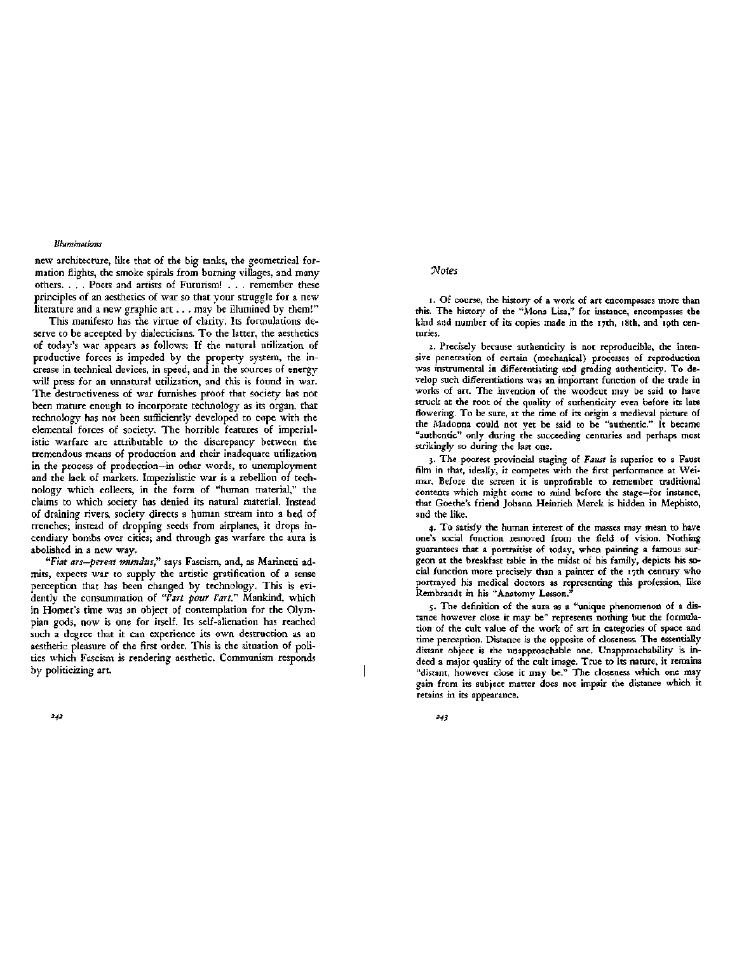new architecture, like that of the big tanks, the geometrical formation flights, the smoke spirals from burning villages, and many others. . . . Poets and artists of Futurism! . . . remember these principles of an aesthetics of war so that your struggle for a new literature and a new graphic art .. . may be illumined by them!"

This manifesto has the virtue of clarity. Its formulations deserve to be accepted by dialecticians. To the latter, the aesthetics of today's war appears as follows: If the natural utilization of productive forces is impeded by the property system, the increase in technical devices, in speed, and in the sources of energy will press for an unnatural utilization, and this is found in war. The destructiveness of war furnishes proof that society has not been mature enough to incorporate technology as its organ, that technology has not been sufficiently developed to cope with the elemental forces of society. The horrible features of imperialistic warfare are attributable to the discrepancy between the tremendous means of production and their inadequate utilization in the process of production—in other words, to unemployment and the lack of markets. Imperialistic war is a rebellion of technology which collects, in the form of "human material," the claims to which society has denied its natural material. Instead of draining rivers, society directs a human stream into a bed of trenches; instead of dropping seeds from airplanes, it drops incendiary bombs over cities; and through gas warfare the aura is abolished in a new way.

*"Fiat ars—pereat mundus"* says Fascism, and, as Marinetti admits, expects war to supply the artistic gratification of a sense perception that has been changed by technology. This is evidently the consummation of *"Fart pour Part."* Mankind, which in Homer's time was an object of contemplation for the Olympian gods, now is one for itself. Its self-alienation has reached such a degree that it can experience its own destruction as an aesthetic pleasure of the first order. This is the situation of politics which Fascism is rendering aesthetic. Communism responds by politicizing art.

# *Notes*

1. Of course, the history of a work of art encompasses more than this. The history of the "Mona Lisa," for instance, encompasses the kind and number of its copies made in the 17th, 18th, and 19th centuries.

2. Precisely because authenticity is not reproducible, the intensive penetration of certain (mechanical) processes of reproduction was instrumental in differentiating and grading authenticity. To develop such differentiations was an important function of the trade in works of art. The invention of the woodcut may be said to have struck at the root of the quality of authenticity even before its late flowering. To be sure, at the time of its origin a medieval picture of the Madonna could not yet be said to be "authentic." It became "authentic" only during the succeeding centuries and perhaps most strikingly so during the last one.

3. The poorest provincial staging of *Faust* is superior to a Faust film in that, ideally, it competes with the first performance at Weimar. Before the screen it is unprofitable to remember traditional contents which might come to mind before the stage—for instance, that Goethe's friend Johann Heinrich Merck is hidden in Mephisto, and the like.

4. To satisfy the human interest of the masses may mean to have one's social function removed from the field of vision. Nothing guarantees that a portraitist of today, when painting a famous surgeon at the breakfast table in the midst of his family, depicts his social function more precisely than a painter of the 17th century who portrayed his medical doctors as representing this profession, like Rembrandt in his "Anatomy Lesson."

5. The definition of the aura as a "unique phenomenon of a distance however close it may be" represents nothing but the formulation of the cult value of the work of art in categories of space and time perception. Distance is the opposite of closeness. The essentially distant object is the unapproachable one. Unapproachability is indeed a major quality of the cult image. True to its nature, it remains "distant, however close it may be." The closeness which one may gain from its subject matter does not impair the distance which it retains in its appearance.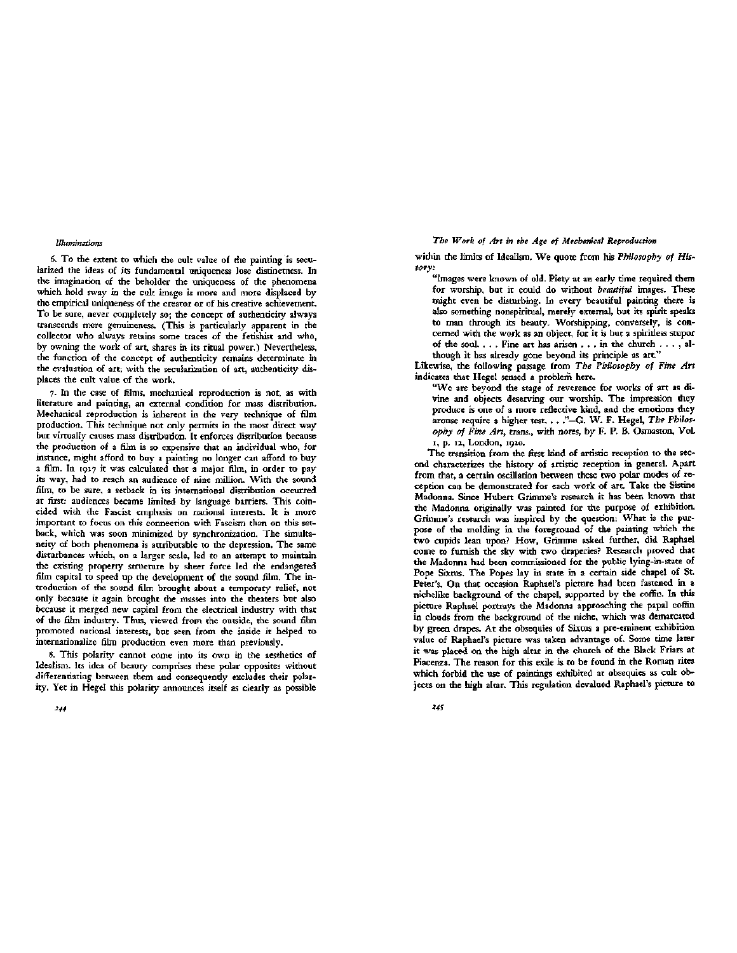# *lllwrmnatiovs*

6. To the extent to which the cult value of the painting is secularized the ideas of its fundamental uniqueness lose distinctness. In the imagination of the beholder the uniqueness of the phenomena which hold sway in the cult image is more and more displaced by the empirical uniqueness of the creator or of his creative achievement. To be sure, never completely so; the concept of authenticity always transcends mere genuineness. (This is particularly apparent in the collector who always retains some traces of the fetishist and who, by owning the work of art, shares in its ritual power.) Nevertheless, the function of the concept of authenticity remains determinate in the evaluation of art; with the secularization of art, authenticity displaces the cult value of the work.

7. In the case of films, mechanical reproduction is not, as with literature and painting, an external condition for mass distribution. Mechanical reproduction is inherent in the very technique of film production. This technique not only permits in the most direct way but virtually causes mass distribution. It enforces distribution because the production of a film is so expensive that an individual who, for instance, might afford to buy a painting no longer can afford to buy a film. In 1927 it was calculated that a major film, in order to pay its way, had to reach an audience of nine million. With the sound film, to be sure, a setback in its international distribution occurred at first: audiences became limited by language barriers. This coincided with the Fascist emphasis on national interests. It is more important to focus on this connection with Fascism than on this setback, which was soon minimized by synchronization. The simultaneity of both phenomena is attributable to the depression. The same disturbances which, on a larger scale, led to an attempt to maintain the existing property structure by sheer force led the endangered film capital to speed up the development of the sound film. The introduction of the sound film brought about a temporary relief, not only because it again brought the masses into the theaters but also because it merged new capital from the electrical industry with that of the film industry. Thus, viewed from the outside, the sound film promoted national interests, but seen from the inside it helped to internationalize film production even more than previously.

8. This polarity cannot come into its own in the aesthetics of Idealism. Its idea of beauty comprises these polar opposites without differentiating between them and consequently excludes their polarity. Yet in Hegel this polarity announces itself as clearly as possible

#### *The Work of Art in the Age of Mechanical Reproduction*

within the limits of Idealism. We quote from his *Philosophy of History:*

"Images were known of old. Piety at an early time required them for worship, but it could do without *beautiful* images. These might even be disturbing. In every beautiful painting there is also something nonspiritual, merely external, but its spirit speaks to man through its beauty. Worshipping, conversely, is concerned with the work as an object, for it is but a spiritless stupor of the soul. . . . Fine art has arisen .. . in the church ... , although it has already gone beyond its principle as art."

Likewise, the following passage from *The Philosophy of Fine Art* indicates that Hegel sensed a problem here.

"We are beyond the stage of reverence for works of art as divine and objects deserving our worship. The impression they produce is one of a more reflective kind, and the emotions they arouse require a higher test. . . ."—G. W. F. Hegel, *The Philosophy of Fine Art,* trans., with notes, by F. P. B. Osmaston, Vol. 1, p. 12, London, 1920.

The transition from the first kind of artistic reception to the second characterizes the history of artistic reception in general. Apart from that, a certain oscillation between these two polar modes of reception can be demonstrated for each work of art. Take the Sistine Madonna. Since Hubert Grimme's research it has been known that the Madonna originally was painted for the purpose of exhibition. Grimme's research was inspired by the question: What is the purpose of the molding in the foreground of the painting which the two cupids lean upon? How, Grimme asked further, did Raphael come to furnish the sky with two draperies? Research proved that the Madonna had been commissioned for the public lying-in-state of Pope Sixtus. The Popes lay in state in a certain side chapel of St. Peter's. On that occasion Raphael's picture had been fastened in a nichelike background of the chapel, supported by the coffin. In this picture Raphael portrays the Madonna approaching the papal coffin in clouds from the background of the niche, which was demarcated by green drapes. At the obsequies of Sixtus a pre-eminent exhibition value of Raphael's picture was taken advantage of. Some time later it was placed on the high altar in the church of the Black Friars at Piacenza. The reason for this exile is to be found in the Roman rites which forbid the use of paintings exhibited at obsequies as cult objects on the high altar. This regulation devalued Raphael's picture to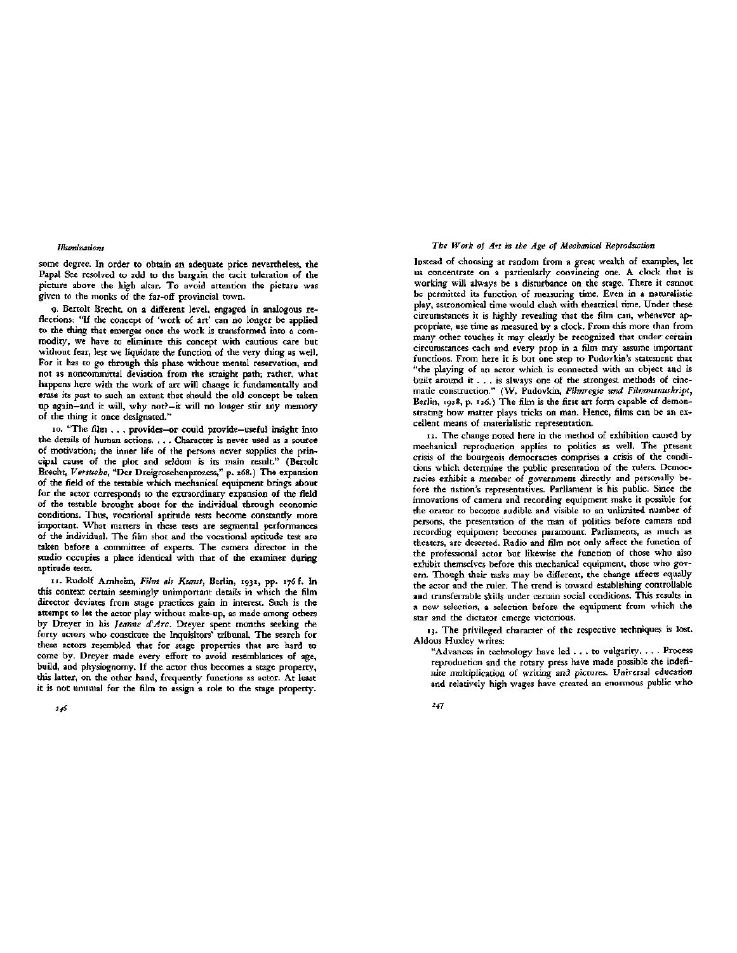some degree. In order to obtain an adequate price nevertheless, the Papal See resolved to add to the bargain the tacit toleration of the picture above the high altar. To avoid attention the picture was given to the monks of the far-off provincial town.

9. Bertolt Brecht, on a different level, engaged in analogous reflections: "If the concept of 'work of art' can no longer be applied to the thing that emerges once the work is transformed into a commodity, we have to eliminate this concept with cautious care but without fear, lest we liquidate the function of the very thing as well. For it has to go through this phase without mental reservation, and not as noncommittal deviation from the straight path; rather, what happens here with the work of art will change it fundamentally and erase its past to such an extent that should the old concept be taken up again—and it will, why not?—it will no longer stir any memory of the thing it once designated."

10. "The film . . . provides—or could provide—useful insight into the details of human actions. . . . Character is never used as a source of motivation; the inner life of the persons never supplies the principal cause of the plot and seldom is its main result." (Bertolt Brecht, *Versuche,* "Der Dreigroschenprozess," p. 268.) The expansion of the field of the testable which mechanical equipment brings about for the actor corresponds to the extraordinary expansion of the field of the testable brought about for the individual through economic conditions. Thus, vocational aptitude tests become constantly more important. What matters in these tests are segmental performances of the individual. The film shot and the vocational aptitude test are taken before a committee of experts. The camera director in the studio occupies a place identical with that of the examiner during aptitude tests.

11. Rudolf Arnheim, *Film ah Kunst,* Berlin, 1932, pp. 176 f. In this context certain seemingly unimportant details in which the film director deviates from stage practices gain in interest. Such is the attempt to let the actor play without make-up, as made among others by Dreyer in his *Jeanne d'Arc.* Dreyer spent months seeking the forty actors who constitute the Inquisitors' tribunal. The search for these actors resembled that for stage properties that are hard to come by. Dreyer made every effort to avoid resemblances of age, build, and physiognomy. If the actor thus becomes a stage property, this latter, on the other hand, frequently functions as actor. At least it is not unusual for the film to assign a role to the stage property.

## *The Work of Art in the Age of Mechanical Reproduction*

Instead of choosing at random from a great wealth of examples, let us concentrate on a particularly convincing one. A clock that is working will always be a disturbance on the stage. There it cannot be permitted its function of measuring time. Even in a naturalistic play, astronomical time would clash with theatrical time. Under these circumstances it is highly revealing that the film can, whenever appropriate, use time as measured by a clock. From this more than from many other touches it may clearly be recognized that under certain circumstances each and every prop in a film may assume important functions. From here it is but one step to Pudovkin's statement that "the playing of an actor which is connected with an object and is built around it .. . is always one of the strongest methods of cinematic construction." (W. Pudovkin, *Filmregie und Filmmanuskript,* Berlin, 1928, p. 126.) The film is the first art form capable of demonstrating how matter plays tricks on man. Hence, films can be an excellent means of materialistic representation.

12. The change noted here in the method of exhibition caused by mechanical reproduction applies to politics as well. The present crisis of the bourgeois democracies comprises a crisis of the conditions which determine the public presentation of the rulers. Democracies exhibit a member of government directly and personally before the nation's representatives. Parliament is his public. Since the innovations of camera and recording equipment make it possible for the orator to become audible and visible to an unlimited number of persons, the presentation of the man of politics before camera and recording equipment becomes paramount. Parliaments, as much as theaters, are deserted. Radio and film not only affect the function of the professional actor but likewise the function of those who also exhibit themselves before this mechanical equipment, those who govern. Though their tasks may be different, the change affects equally the actor and the ruler. The trend is toward establishing controllable and transferrable skills under certain social conditions. This results in a new selection, a selection before the equipment from which the star and the dictator emerge victorious.

13. The privileged character of the respective techniques is lost. Aldous Huxley writes:

"Advances in technology have led .. . to vulgarity. . . . Process reproduction and the rotary press have made possible the indefinite multiplication of writing and pictures. Universal education and relatively high wages have created an enormous public who

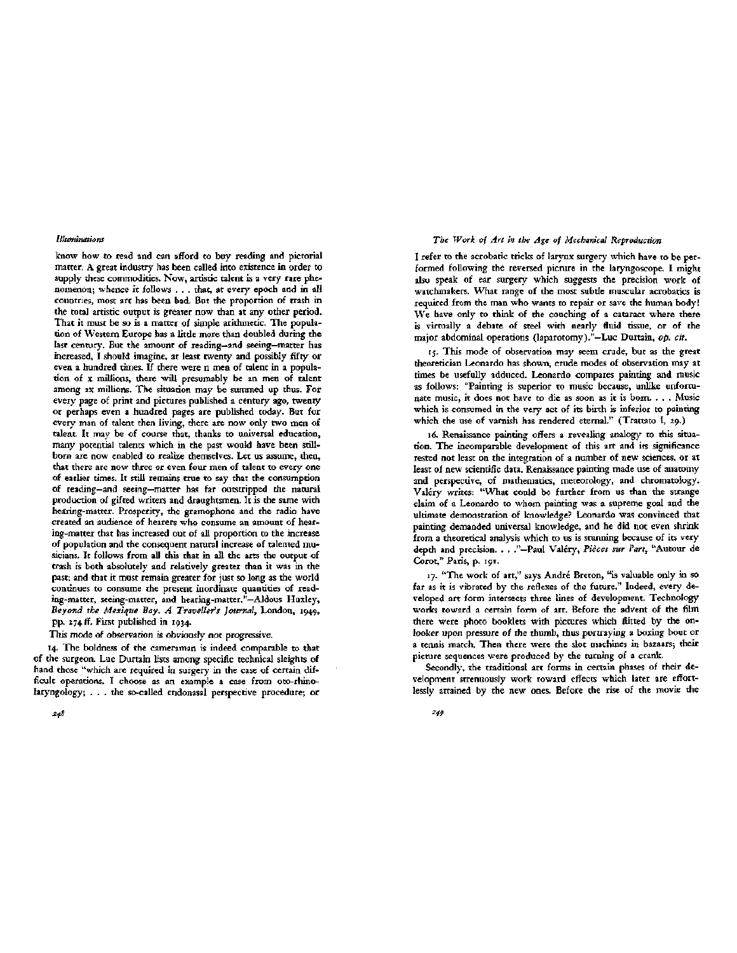know how to read and can afford to boy reading and pictorial matter. A great industry has been called into existence in order to supply these commodities. Now, artistic talent is a very rare phenomenon; whence it follows . . . that, at every epoch and in all countries, most art has been bad. But the proportion of trash in the total artistic output is greater now than at any other period. That it must be so is a matter of simple arithmetic. The population of Western Europe has a little more than doubled during the last century. But the amount of reading—and seeing—matter has increased, I should imagine, at least twenty and possibly fifty or even a hundred times. If there were n men of talent in a population of x millions, there will presumably be *m* men of talent among 2x millions. The situation may be summed up thus. For every page of print and pictures published a century ago, twenty or perhaps even a hundred pages are published today. But for every man of talent then living, there are now only two men of talent. It may be of course that, thanks to universal education, many potential talents which in the past would have been stillborn are now enabled to realize themselves. Let us assume, then, that there are now three or even four men of talent to every one of earlier times. It still remains true to say that the consumption of reading—and seeing—matter has far outstripped the natural production of gifted writers and draughtsmen. It is the same with hearing-matter. Prosperity, the gramophone and the radio have created an audience of hearers who consume an amount of hearing-matter that has increased out of all proportion to the increase of population and the consequent natural increase of talented musicians. It follows from all this that in all the arts the output of trash is both absolutely and relatively greater than it was in the past; and that it must remain greater for just so long as the world continues to consume the present inordinate quantities of reading-matter, seeing-matter, and hearing-matter."—Aldous Huxley, *Beyond the Mexique Bay. A Traveller's Journal,* London, 1949, pp. 274ft. First published in 1934.

This mode of observation is obviously not progressive.  $\frac{1}{2}$ . The bold of the cameraman is conviously flux progressive.

 $\frac{14}{100}$  The boldness of the cameraman is indeed comparable to that of the surgeon. Luc Durtain lists among specific technical sleights of hand those "which are required in surgery in the case of certain difficult operations. I choose as an example a case from oto-rhino-<br>laryngology; . . . the so-called endonasal perspective procedure; or

# *248*

#### *The Work of Art in the Age of Mechanical Reproduction*

I refer to the acrobatic tricks of larynx surgery which have to be performed following the reversed picture in the laryngoscope. I might also speak of ear surgery which suggests the precision work of watchmakers. What range of the most subtle muscular acrobatics is required from the man who wants to repair or save the human body! We have only to think of the couching of a cataract where there is virtually a debate of steel with nearly fluid tissue, or of the major abdominal operations (laparotomy)."—Luc Durtain, *op. cit.*

15. This mode of observation may seem crude, but as the great theoretician Leonardo has shown, crude modes of observation may at times be usefully adduced. Leonardo compares painting and music as follows: "Painting is superior to music because, unlike unfortunate music, it does not have to die as soon as it is born. . . . Music which is consumed in the very act of its birth is inferior to painting which the use of varnish has rendered eternal." (Trattato I, 29.)

16. Renaissance painting offers a revealing analogy to this situation. The incomparable development of this art and its significance rested not least on the integration of a number of new sciences, or at least of new scientific data. Renaissance painting made use of anatomy and perspective, of mathematics, meteorology, and chromatology. Valery writes: "What could be further from us than the strange claim of a Leonardo to whom painting was a supreme goal and the ultimate demonstration of knowledge? Leonardo was convinced that painting demanded universal knowledge, and he did not even shrink from a theoretical analysis which to us is stunning because of its very depth and precision. . . ."—Paul Valery, *Pieces sur Van,* "Autour de Corot," Paris, p. 191.

17. "The work of art," says Andre Breton, "is valuable only in so far as it is vibrated by the reflexes of the future." Indeed, every developed art form intersects three lines of development. Technology works toward a certain form of art. Before the advent of the film there were photo booklets with pictures which flitted by the onlooker upon pressure of the thumb, thus portraying a boxing bout or a tennis match. Then there were the slot machines in bazaars; their picture sequences were produced by the turning of a crank.

Secondly, the traditional art forms in certain phases of their development strenuously work toward effects which later are effortlessly attained by the new ones. Before the rise of the movie the

 $\mathcal{Z}\neq\mathcal{Y}$